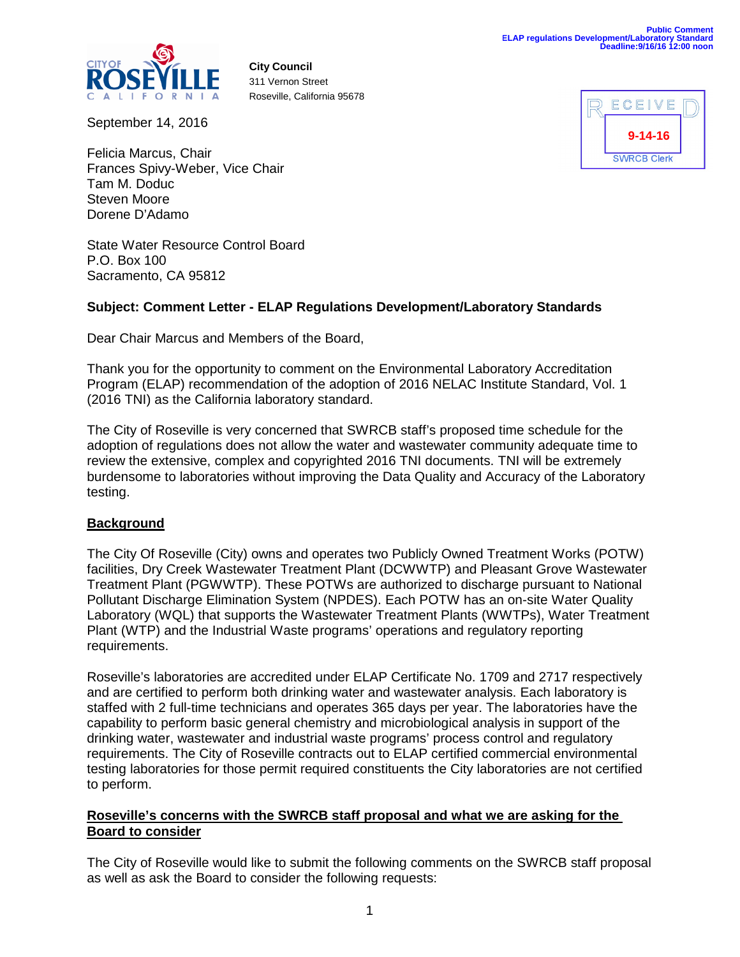

**City Council** 311 Vernon Street Roseville, California 95678

September 14, 2016



Felicia Marcus, Chair Frances Spivy-Weber, Vice Chair Tam M. Doduc Steven Moore Dorene D'Adamo

State Water Resource Control Board P.O. Box 100 Sacramento, CA 95812

# **Subject: Comment Letter - ELAP Regulations Development/Laboratory Standards**

Dear Chair Marcus and Members of the Board,

Thank you for the opportunity to comment on the Environmental Laboratory Accreditation Program (ELAP) recommendation of the adoption of 2016 NELAC Institute Standard, Vol. 1 (2016 TNI) as the California laboratory standard.

The City of Roseville is very concerned that SWRCB staff's proposed time schedule for the adoption of regulations does not allow the water and wastewater community adequate time to review the extensive, complex and copyrighted 2016 TNI documents. TNI will be extremely burdensome to laboratories without improving the Data Quality and Accuracy of the Laboratory testing.

# **Background**

The City Of Roseville (City) owns and operates two Publicly Owned Treatment Works (POTW) facilities, Dry Creek Wastewater Treatment Plant (DCWWTP) and Pleasant Grove Wastewater Treatment Plant (PGWWTP). These POTWs are authorized to discharge pursuant to National Pollutant Discharge Elimination System (NPDES). Each POTW has an on-site Water Quality Laboratory (WQL) that supports the Wastewater Treatment Plants (WWTPs), Water Treatment Plant (WTP) and the Industrial Waste programs' operations and regulatory reporting requirements.

Roseville's laboratories are accredited under ELAP Certificate No. 1709 and 2717 respectively and are certified to perform both drinking water and wastewater analysis. Each laboratory is staffed with 2 full-time technicians and operates 365 days per year. The laboratories have the capability to perform basic general chemistry and microbiological analysis in support of the drinking water, wastewater and industrial waste programs' process control and regulatory requirements. The City of Roseville contracts out to ELAP certified commercial environmental testing laboratories for those permit required constituents the City laboratories are not certified to perform.

# **Roseville's concerns with the SWRCB staff proposal and what we are asking for the Board to consider**

The City of Roseville would like to submit the following comments on the SWRCB staff proposal as well as ask the Board to consider the following requests: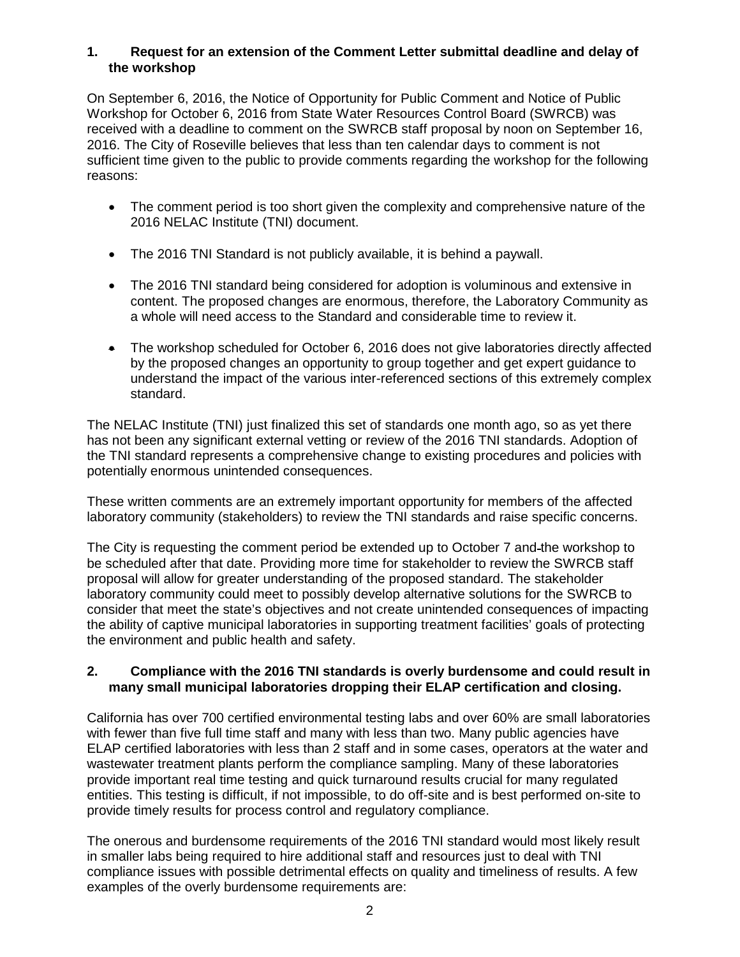# **1. Request for an extension of the Comment Letter submittal deadline and delay of the workshop**

On September 6, 2016, the Notice of Opportunity for Public Comment and Notice of Public Workshop for October 6, 2016 from State Water Resources Control Board (SWRCB) was received with a deadline to comment on the SWRCB staff proposal by noon on September 16, 2016. The City of Roseville believes that less than ten calendar days to comment is not sufficient time given to the public to provide comments regarding the workshop for the following reasons:

- The comment period is too short given the complexity and comprehensive nature of the 2016 NELAC Institute (TNI) document.
- The 2016 TNI Standard is not publicly available, it is behind a paywall.
- The 2016 TNI standard being considered for adoption is voluminous and extensive in content. The proposed changes are enormous, therefore, the Laboratory Community as a whole will need access to the Standard and considerable time to review it.
- The workshop scheduled for October 6, 2016 does not give laboratories directly affected by the proposed changes an opportunity to group together and get expert guidance to understand the impact of the various inter-referenced sections of this extremely complex standard.

The NELAC Institute (TNI) just finalized this set of standards one month ago, so as yet there has not been any significant external vetting or review of the 2016 TNI standards. Adoption of the TNI standard represents a comprehensive change to existing procedures and policies with potentially enormous unintended consequences.

These written comments are an extremely important opportunity for members of the affected laboratory community (stakeholders) to review the TNI standards and raise specific concerns.

The City is requesting the comment period be extended up to October 7 and the workshop to be scheduled after that date. Providing more time for stakeholder to review the SWRCB staff proposal will allow for greater understanding of the proposed standard. The stakeholder laboratory community could meet to possibly develop alternative solutions for the SWRCB to consider that meet the state's objectives and not create unintended consequences of impacting the ability of captive municipal laboratories in supporting treatment facilities' goals of protecting the environment and public health and safety.

# **2. Compliance with the 2016 TNI standards is overly burdensome and could result in many small municipal laboratories dropping their ELAP certification and closing.**

California has over 700 certified environmental testing labs and over 60% are small laboratories with fewer than five full time staff and many with less than two. Many public agencies have ELAP certified laboratories with less than 2 staff and in some cases, operators at the water and wastewater treatment plants perform the compliance sampling. Many of these laboratories provide important real time testing and quick turnaround results crucial for many regulated entities. This testing is difficult, if not impossible, to do off-site and is best performed on-site to provide timely results for process control and regulatory compliance.

The onerous and burdensome requirements of the 2016 TNI standard would most likely result in smaller labs being required to hire additional staff and resources just to deal with TNI compliance issues with possible detrimental effects on quality and timeliness of results. A few examples of the overly burdensome requirements are: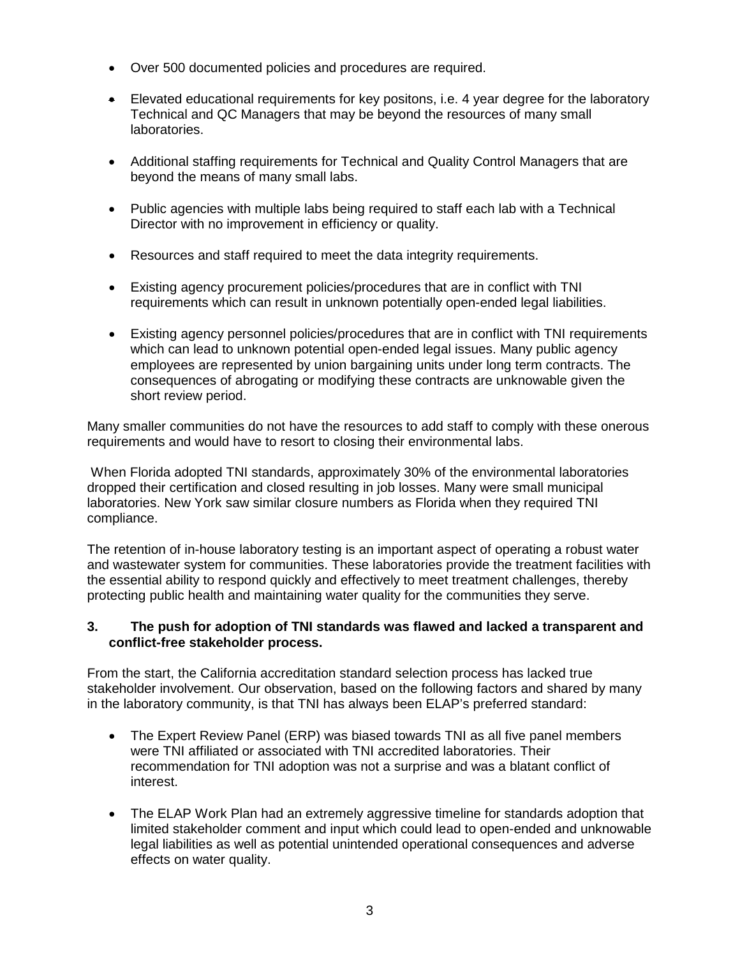- Over 500 documented policies and procedures are required.
- Elevated educational requirements for key positons, i.e. 4 year degree for the laboratory Technical and QC Managers that may be beyond the resources of many small laboratories.
- Additional staffing requirements for Technical and Quality Control Managers that are beyond the means of many small labs.
- Public agencies with multiple labs being required to staff each lab with a Technical Director with no improvement in efficiency or quality.
- Resources and staff required to meet the data integrity requirements.
- Existing agency procurement policies/procedures that are in conflict with TNI requirements which can result in unknown potentially open-ended legal liabilities.
- Existing agency personnel policies/procedures that are in conflict with TNI requirements which can lead to unknown potential open-ended legal issues. Many public agency employees are represented by union bargaining units under long term contracts. The consequences of abrogating or modifying these contracts are unknowable given the short review period.

Many smaller communities do not have the resources to add staff to comply with these onerous requirements and would have to resort to closing their environmental labs.

When Florida adopted TNI standards, approximately 30% of the environmental laboratories dropped their certification and closed resulting in job losses. Many were small municipal laboratories. New York saw similar closure numbers as Florida when they required TNI compliance.

The retention of in-house laboratory testing is an important aspect of operating a robust water and wastewater system for communities. These laboratories provide the treatment facilities with the essential ability to respond quickly and effectively to meet treatment challenges, thereby protecting public health and maintaining water quality for the communities they serve.

# **3. The push for adoption of TNI standards was flawed and lacked a transparent and conflict-free stakeholder process.**

From the start, the California accreditation standard selection process has lacked true stakeholder involvement. Our observation, based on the following factors and shared by many in the laboratory community, is that TNI has always been ELAP's preferred standard:

- The Expert Review Panel (ERP) was biased towards TNI as all five panel members were TNI affiliated or associated with TNI accredited laboratories. Their recommendation for TNI adoption was not a surprise and was a blatant conflict of interest.
- The ELAP Work Plan had an extremely aggressive timeline for standards adoption that limited stakeholder comment and input which could lead to open-ended and unknowable legal liabilities as well as potential unintended operational consequences and adverse effects on water quality.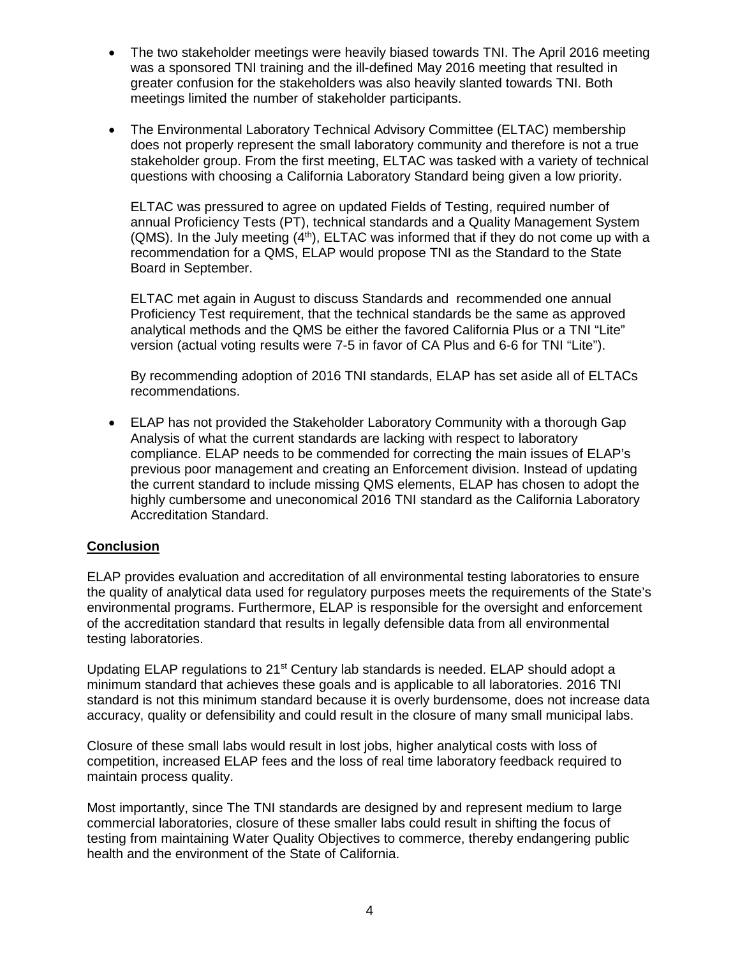- The two stakeholder meetings were heavily biased towards TNI. The April 2016 meeting was a sponsored TNI training and the ill-defined May 2016 meeting that resulted in greater confusion for the stakeholders was also heavily slanted towards TNI. Both meetings limited the number of stakeholder participants.
- The Environmental Laboratory Technical Advisory Committee (ELTAC) membership does not properly represent the small laboratory community and therefore is not a true stakeholder group. From the first meeting, ELTAC was tasked with a variety of technical questions with choosing a California Laboratory Standard being given a low priority.

ELTAC was pressured to agree on updated Fields of Testing, required number of annual Proficiency Tests (PT), technical standards and a Quality Management System (QMS). In the July meeting  $(4<sup>th</sup>)$ , ELTAC was informed that if they do not come up with a recommendation for a QMS, ELAP would propose TNI as the Standard to the State Board in September.

ELTAC met again in August to discuss Standards and recommended one annual Proficiency Test requirement, that the technical standards be the same as approved analytical methods and the QMS be either the favored California Plus or a TNI "Lite" version (actual voting results were 7-5 in favor of CA Plus and 6-6 for TNI "Lite").

By recommending adoption of 2016 TNI standards, ELAP has set aside all of ELTACs recommendations.

• ELAP has not provided the Stakeholder Laboratory Community with a thorough Gap Analysis of what the current standards are lacking with respect to laboratory compliance. ELAP needs to be commended for correcting the main issues of ELAP's previous poor management and creating an Enforcement division. Instead of updating the current standard to include missing QMS elements, ELAP has chosen to adopt the highly cumbersome and uneconomical 2016 TNI standard as the California Laboratory Accreditation Standard.

# **Conclusion**

ELAP provides evaluation and accreditation of all environmental testing laboratories to ensure the quality of analytical data used for regulatory purposes meets the requirements of the State's environmental programs. Furthermore, ELAP is responsible for the oversight and enforcement of the accreditation standard that results in legally defensible data from all environmental testing laboratories.

Updating ELAP regulations to  $21^{st}$  Century lab standards is needed. ELAP should adopt a minimum standard that achieves these goals and is applicable to all laboratories. 2016 TNI standard is not this minimum standard because it is overly burdensome, does not increase data accuracy, quality or defensibility and could result in the closure of many small municipal labs.

Closure of these small labs would result in lost jobs, higher analytical costs with loss of competition, increased ELAP fees and the loss of real time laboratory feedback required to maintain process quality.

Most importantly, since The TNI standards are designed by and represent medium to large commercial laboratories, closure of these smaller labs could result in shifting the focus of testing from maintaining Water Quality Objectives to commerce, thereby endangering public health and the environment of the State of California.